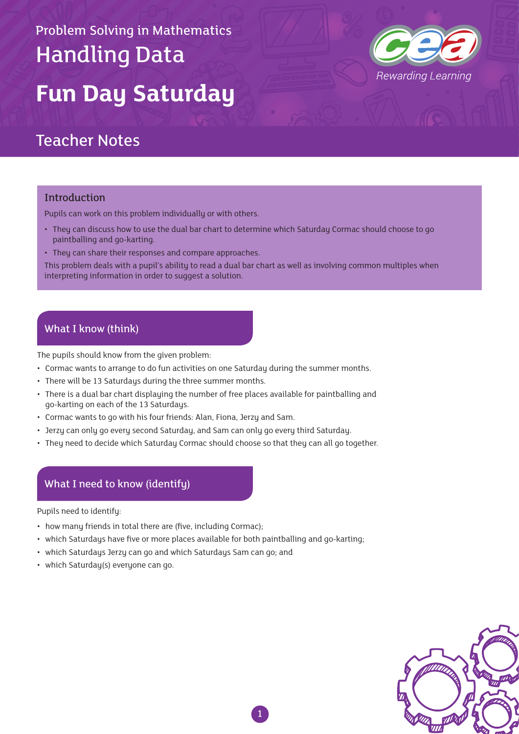# Problem Solving in Mathematics Handling Data **Fun Day Saturday**



### Teacher Notes

#### Introduction

Pupils can work on this problem individually or with others.

- They can discuss how to use the dual bar chart to determine which Saturday Cormac should choose to go paintballing and go-karting.
- They can share their responses and compare approaches.

This problem deals with a pupil's ability to read a dual bar chart as well as involving common multiples when interpreting information in order to suggest a solution.

### What I know (think)

The pupils should know from the given problem:

- Cormac wants to arrange to do fun activities on one Saturday during the summer months.
- There will be 13 Saturdays during the three summer months.
- There is a dual bar chart displaying the number of free places available for paintballing and go-karting on each of the 13 Saturdays.
- Cormac wants to go with his four friends: Alan, Fiona, Jerzy and Sam.
- Jerzy can only go every second Saturday, and Sam can only go every third Saturday.
- They need to decide which Saturday Cormac should choose so that they can all go together.

### What I need to know (identify)

Pupils need to identify:

- how many friends in total there are (five, including Cormac);
- which Saturdays have five or more places available for both paintballing and go-karting;
- which Saturdays Jerzy can go and which Saturdays Sam can go; and
- which Saturday(s) everyone can go.

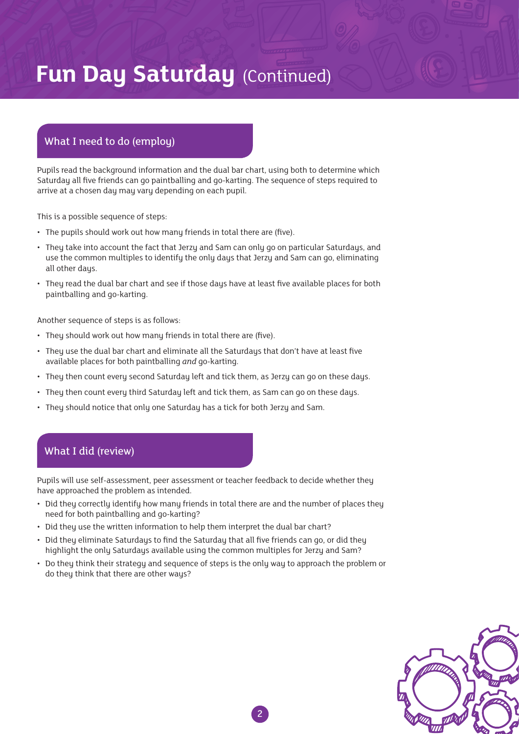## **Fun Day Saturday (Continued)**

### What I need to do (employ)

Pupils read the background information and the dual bar chart, using both to determine which Saturday all five friends can go paintballing and go-karting. The sequence of steps required to arrive at a chosen day may vary depending on each pupil.

This is a possible sequence of steps:

- The pupils should work out how many friends in total there are (five).
- They take into account the fact that Jerzy and Sam can only go on particular Saturdays, and use the common multiples to identify the only days that Jerzy and Sam can go, eliminating all other days.
- They read the dual bar chart and see if those days have at least five available places for both paintballing and go-karting.

Another sequence of steps is as follows:

- They should work out how many friends in total there are (five).
- They use the dual bar chart and eliminate all the Saturdays that don't have at least five available places for both paintballing *and* go-karting.
- They then count every second Saturday left and tick them, as Jerzy can go on these days.
- They then count every third Saturday left and tick them, as Sam can go on these days.
- They should notice that only one Saturday has a tick for both Jerzy and Sam.

### What I did (review)

Pupils will use self-assessment, peer assessment or teacher feedback to decide whether they have approached the problem as intended.

- Did they correctly identify how many friends in total there are and the number of places they need for both paintballing and go-karting?
- Did they use the written information to help them interpret the dual bar chart?
- Did they eliminate Saturdays to find the Saturday that all five friends can go, or did they highlight the only Saturdays available using the common multiples for Jerzy and Sam?
- Do they think their strategy and sequence of steps is the only way to approach the problem or do they think that there are other ways?